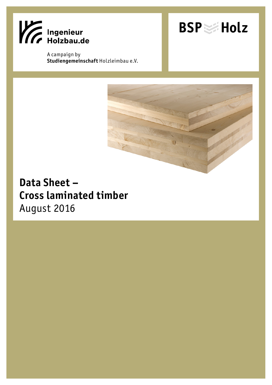

A campaign by **Studiengemeinschaft** Holzleimbau e.V.





## **Data Sheet – Cross laminated timber**  August 2016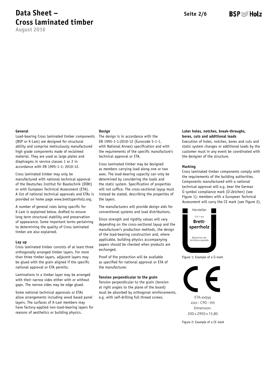**August 2016**

## BSP ≋ Holz

#### **General**

Load-bearing Cross laminated timber components (BSP or X-Lam) are designed for structural ability and comprise meticulously manufactured high grade components made of reclaimed material. They are used as large plates and diaphragms in service classes 1 or 2 in accordance with EN 1995-1-1: 2010-12.

Cross laminated timber may only be manufactured with national technical approval of the Deutsches Institut für Bautechnik (DIBt) or with European Technical Assessment (ETA). A list of national technical approvals and ETAs is provided on home page www.brettsperrholz.org.

A number of general rules being specific for X-Lam is explained below, drafted to ensure long term structural stability and preservation of appearance. Some important terms pertaining to determining the quality of Cross laminated timber are also explained.

#### **Lay up**

Cross laminated timber consists of at least three orthogonally arranged timber layers. For more than three timber layers, adjacent layers may be glued with the grain aligned if the specific national approval or ETA permits.

Laminations in a timber layer may be arranged with their narrow sides either with or without gaps. The narrow sides may be edge glued.

Some national technical approvals or ETAs allow arrangements including wood based panel layers. The surfaces of X-Lam members may have factory-applied non-load-bearing layers for reasons of aesthetics or building physics.

#### **Design**

The design is in accordance with the EN 1995-1-1:2010-12 (Eurocode 5-1-1, with National Annex) specification and with the requirements of the specific manufacture's technical approval or ETA.

Cross laminated timber may be designed as members carrying load along one or two axes. The load-bearing capacity can only be determined by considering the loads and the static system. Specification of properties will not suffice. The cross-sectional layup must instead be stated, describing the properties of the layers.

The manufacturers will provide design aids for conventional systems and load distributions.

Since strength and rigidity values will vary depending on the cross-sectional layup and the manufacturer's production methods, the design of the load-bearing construction and, where applicable, building physics accompanying papers should be checked when products are exchanged.

Proof of fire protection will be available as specified for national approval or ETA of the manufacturer.

#### **Tension perpendicular to the grain**

Tension perpendicular to the grain (tension at right angles to the plane of the board) must be absorbed by orthogonal reinforcements, e.g. with self-drilling full thread screws.

#### **Later holes, notches, break-throughs, bores, cuts and additional loads**

Execution of holes, notches, bores and cuts and static system changes or additional loads by the customer must in any event be coordinated with the designer of the structure.

#### **Marking**

Cross laminated timber components comply with the requirements of the building authorities. Components manufactured with a national technical approval will e.g. bear the German Ü symbol compliance mark (Ü-Zeichen) (see Figure 1); members with a European Technical Assessment will carry the CE mark (see Figure 2).



Figure 1: Example of a Ü mark



ETA-xx/yyy zzzz - CPD - tttt Dimension: 200 x 2950 x 15,80

Figure 2: Example of a CE mark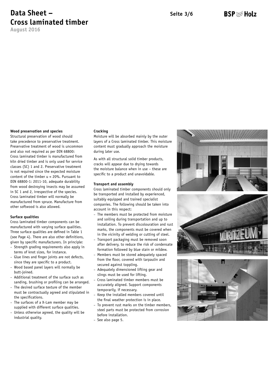**August 2016**

## BSP ≋ Holz

#### **Wood preservation and species**

Structural preservation of wood should take precedence to preservative treatment. Preservative treatment of wood is uncommon and also not required as per DIN 68800: Cross laminated timber is manufactured from kiln dried timber and is only used for service classes (SC) 1 and 2. Preservative treatment is not required since the expected moisture content of the timber u < 20%. Pursuant to DIN 68800-1: 2011-10, adequate durability from wood destroying insects may be assumed in SC 1 and 2, irrespective of the species. Cross laminated timber will normally be manufactured from spruce. Manufacture from other softwood is also allowed.

#### **Surface qualities**

Cross laminated timber components can be manufactured with varying surface qualities. Three surface qualities are defined in Table 1 (see Page 4). There are also other definitions, given by specific manufacturers. In principle:

- Strength grading requirements also apply in terms of knot sizes, for instance.
- Glue lines and finger joints are not defects, since they are specific to a product.
- Wood based panel layers will normally be butt-joined.
- Additional treatment of the surface such as sanding, brushing or profiling can be arranged.
- The desired surface texture of the member must be contractually agreed and stipulated in the specifications.
- The surfaces of a X-Lam member may be supplied with different surface qualities.
- Unless otherwise agreed, the quality will be industrial quality.

#### **Cracking**

Moisture will be absorbed mainly by the outer layers of a Cross laminated timber. This moisture content must gradually approach the moisture during later use.

As with all structural solid timber products, cracks will appear due to drying towards the moisture balance when in use – these are specific to a product and unavoidable.

#### **Transport and assembly**

Cross laminated timber components should only be transported and installed by experienced, suitably equipped and trained specialist companies. The following should be taken into account in this respect:

- The members must be protected from moisture and soiling during transportation and up to installation. To prevent discolouration and rust marks, the components must be covered when in the vicinity of welding or cutting of steel.
- Transport packaging must be removed soon after delivery, to reduce the risk of condensate formation followed by blue stain or mildew.
- Members must be stored adequately spaced from the floor, covered with tarpaulin and secured against toppling.
- Adequately dimensioned lifting gear and slings must be used for lifting.
- Cross laminated timber members must be accurately aligned. Support components temporarily, if necessary.
- Keep the installed members covered until the final weather protection is in place.
- To prevent rust marks on the timber members, steel parts must be protected from corrosion before installation.
- See also page 5.





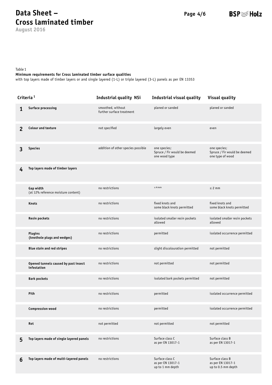**August 2016**

**BSP** ≋ Holz

Table 1

#### **Minimum requirements for Cross laminated timber surface qualities**

with top layers made of timber layers or and single layered (1-L) or triple layered (3-L) panels as per EN 13353

| Criteria <sup>1</sup> |                                                     | <b>Industrial quality NSi</b>                  | Industrial visual quality                                     | <b>Visual quality</b>                                            |
|-----------------------|-----------------------------------------------------|------------------------------------------------|---------------------------------------------------------------|------------------------------------------------------------------|
| 1                     | <b>Surface processing</b>                           | smoothed, without<br>further surface treatment | planed or sanded                                              | planed or sanded                                                 |
| $\overline{2}$        | <b>Colour and texture</b>                           | not specified                                  | largely even                                                  | even                                                             |
| 3                     | <b>Species</b>                                      | addition of other species possible             | one species;<br>Spruce / Fir would be deemed<br>one wood type | one species;<br>Spruce / Fir would be deemed<br>one type of wood |
| 4                     | Top layers made of timber layers                    |                                                |                                                               |                                                                  |
|                       | Gap width<br>(at 12% reference moisture content)    | no restrictions                                | $\leq 4$ mm                                                   | $\leq$ 2 mm                                                      |
|                       | <b>Knots</b>                                        | no restrictions                                | fixed knots and<br>some black knots permitted                 | fixed knots and<br>some black knots permitted                    |
|                       | <b>Resin pockets</b>                                | no restrictions                                | isolated smaller resin pockets<br>allowed                     | isolated smaller resin pockets<br>allowed                        |
|                       | <b>Plugins</b><br>(knothole plugs and wedges)       | no restrictions                                | permitted                                                     | isolated occurrence permitted                                    |
|                       | <b>Blue stain and red stripes</b>                   | no restrictions                                | slight discolouration permitted                               | not permitted                                                    |
|                       | Opened tunnels caused by past insect<br>infestation | no restrictions                                | not permitted                                                 | not permitted                                                    |
|                       | <b>Bark pockets</b>                                 | no restrictions                                | isolated bark pockets permitted                               | not permitted                                                    |
|                       | Pith                                                | no restrictions                                | permitted                                                     | isolated occurrence permitted                                    |
|                       | <b>Compression wood</b>                             | no restrictions                                | permitted                                                     | isolated occurrence permitted                                    |
|                       | Rot                                                 | not permitted                                  | not permitted                                                 | not permitted                                                    |
| 5                     | Top layers made of single layered panels            | no restrictions                                | Surface class C<br>as per EN 13017-1                          | Surface class B<br>as per EN 13017-1                             |
| 6                     | Top layers made of multi-layered panels             | no restrictions                                | Surface class C<br>as per EN 13017-1<br>up to 1 mm depth      | Surface class B<br>as per EN 13017-1<br>up to 0.5 mm depth       |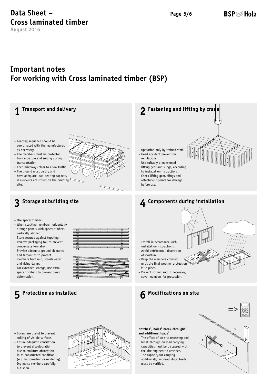**August 2016**

## **BSP** Holz

## **Important notes For working with Cross laminated timber (BSP)**



must be verified.

– Dry moist members carefully, but soon.